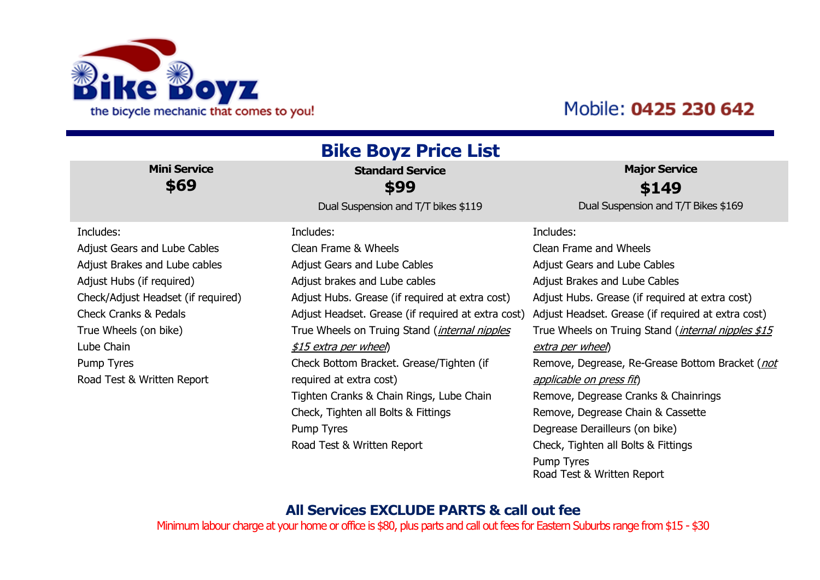

## Mobile: 0425 230 642

| <b>Bike Boyz Price List</b>        |                                                    |                                                            |  |
|------------------------------------|----------------------------------------------------|------------------------------------------------------------|--|
| <b>Mini Service</b>                | <b>Standard Service</b>                            | <b>Major Service</b>                                       |  |
| \$69                               | \$99                                               | \$149                                                      |  |
|                                    | Dual Suspension and T/T bikes \$119                | Dual Suspension and T/T Bikes \$169                        |  |
| Includes:                          | Includes:                                          | Includes:                                                  |  |
| Adjust Gears and Lube Cables       | Clean Frame & Wheels                               | Clean Frame and Wheels                                     |  |
| Adjust Brakes and Lube cables      | Adjust Gears and Lube Cables                       | Adjust Gears and Lube Cables                               |  |
| Adjust Hubs (if required)          | Adjust brakes and Lube cables                      | Adjust Brakes and Lube Cables                              |  |
| Check/Adjust Headset (if required) | Adjust Hubs. Grease (if required at extra cost)    | Adjust Hubs. Grease (if required at extra cost)            |  |
| <b>Check Cranks &amp; Pedals</b>   | Adjust Headset. Grease (if required at extra cost) | Adjust Headset. Grease (if required at extra cost)         |  |
| True Wheels (on bike)              | True Wheels on Truing Stand (internal nipples      | True Wheels on Truing Stand ( <i>internal nipples \$15</i> |  |
| Lube Chain                         | \$15 extra per wheel)                              | extra per wheel)                                           |  |
| Pump Tyres                         | Check Bottom Bracket. Grease/Tighten (if           | Remove, Degrease, Re-Grease Bottom Bracket ( <i>not</i>    |  |
| Road Test & Written Report         | required at extra cost)                            | applicable on press fit)                                   |  |
|                                    | Tighten Cranks & Chain Rings, Lube Chain           | Remove, Degrease Cranks & Chainrings                       |  |
|                                    | Check, Tighten all Bolts & Fittings                | Remove, Degrease Chain & Cassette                          |  |
|                                    | Pump Tyres                                         | Degrease Derailleurs (on bike)                             |  |
|                                    | Road Test & Written Report                         | Check, Tighten all Bolts & Fittings                        |  |
|                                    |                                                    | Pump Tyres<br>Road Test & Written Report                   |  |

## **All Services EXCLUDE PARTS & call out fee**

Minimum labour charge at your home or office is \$80, plus parts and call out fees for Eastern Suburbs range from \$15 - \$30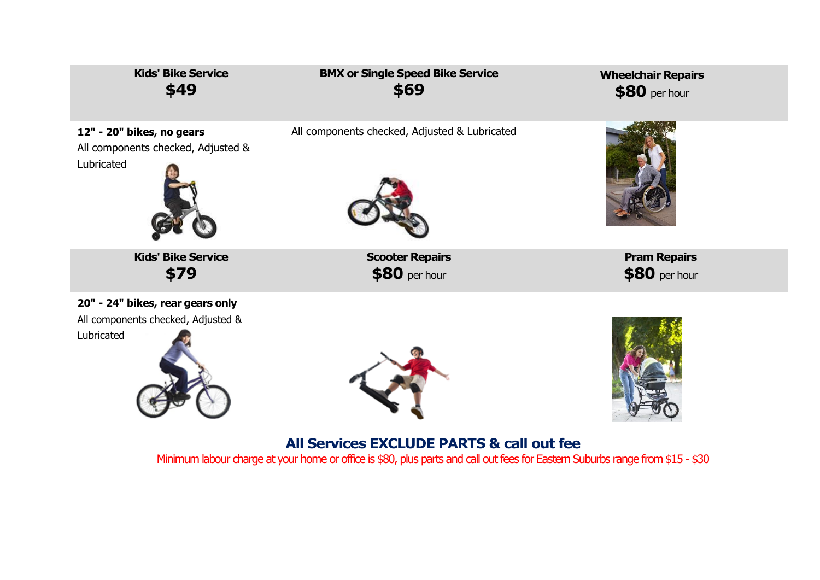

Minimum labour charge at your home or office is \$80, plus parts and call out fees for Eastern Suburbs range from \$15 - \$30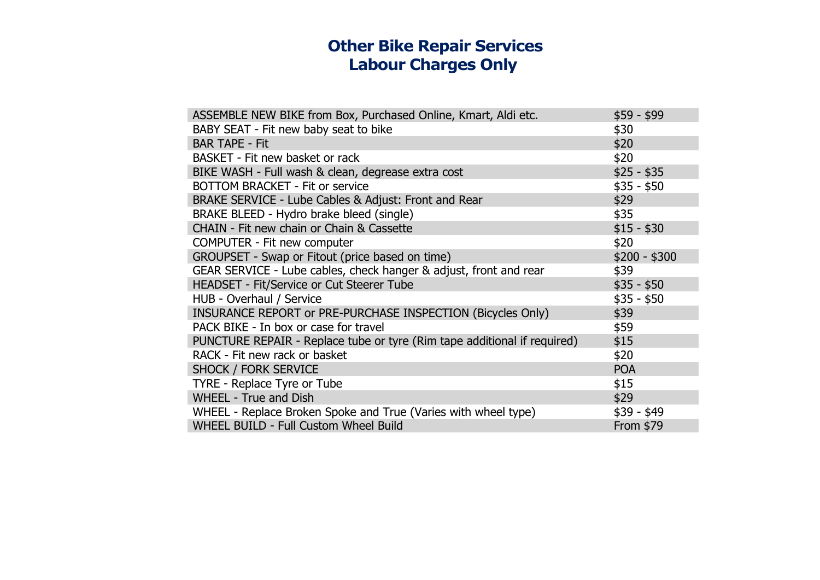## **Other Bike Repair Services Labour Charges Only**

| ASSEMBLE NEW BIKE from Box, Purchased Online, Kmart, Aldi etc.           | $$59 - $99$   |
|--------------------------------------------------------------------------|---------------|
| BABY SEAT - Fit new baby seat to bike                                    | \$30          |
| <b>BAR TAPE - Fit</b>                                                    | \$20          |
| BASKET - Fit new basket or rack                                          | \$20          |
| BIKE WASH - Full wash & clean, degrease extra cost                       | $$25 - $35$   |
| <b>BOTTOM BRACKET - Fit or service</b>                                   | $$35 - $50$   |
| BRAKE SERVICE - Lube Cables & Adjust: Front and Rear                     | \$29          |
| BRAKE BLEED - Hydro brake bleed (single)                                 | \$35          |
| CHAIN - Fit new chain or Chain & Cassette                                | $$15 - $30$   |
| <b>COMPUTER - Fit new computer</b>                                       | \$20          |
| GROUPSET - Swap or Fitout (price based on time)                          | $$200 - $300$ |
| GEAR SERVICE - Lube cables, check hanger & adjust, front and rear        | \$39          |
| HEADSET - Fit/Service or Cut Steerer Tube                                | $$35 - $50$   |
| HUB - Overhaul / Service                                                 | $$35 - $50$   |
| INSURANCE REPORT or PRE-PURCHASE INSPECTION (Bicycles Only)              | \$39          |
| PACK BIKE - In box or case for travel                                    | \$59          |
| PUNCTURE REPAIR - Replace tube or tyre (Rim tape additional if required) | \$15          |
| RACK - Fit new rack or basket                                            | \$20          |
| <b>SHOCK / FORK SERVICE</b>                                              | <b>POA</b>    |
| TYRE - Replace Tyre or Tube                                              | \$15          |
| <b>WHEEL - True and Dish</b>                                             | \$29          |
| WHEEL - Replace Broken Spoke and True (Varies with wheel type)           | $$39 - $49$   |
| <b>WHEEL BUILD - Full Custom Wheel Build</b>                             | From \$79     |